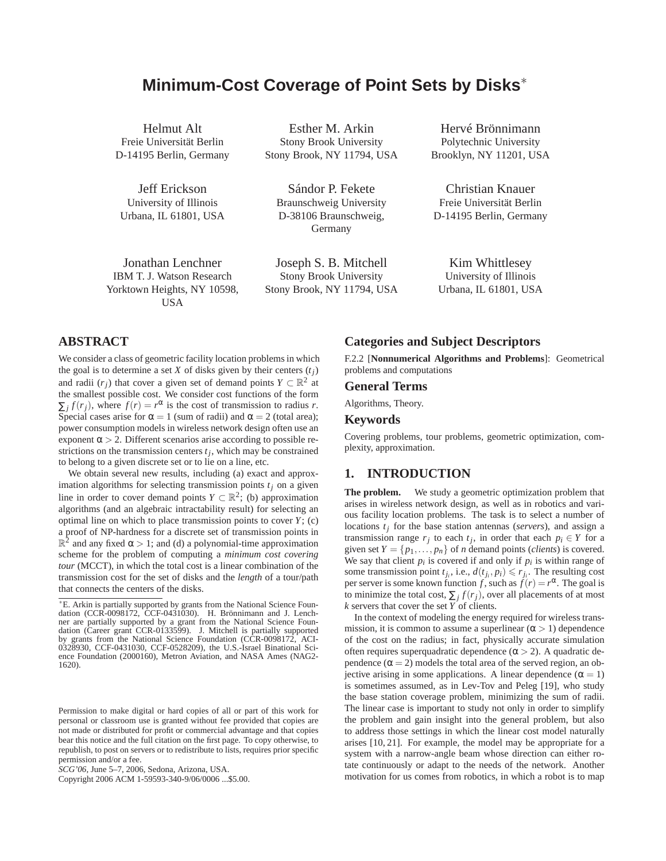# **Minimum-Cost Coverage of Point Sets by Disks**∗

Helmut Alt Freie Universität Berlin D-14195 Berlin, Germany

Jeff Erickson University of Illinois Urbana, IL 61801, USA

Jonathan Lenchner IBM T. J. Watson Research Yorktown Heights, NY 10598, **USA** 

Esther M. Arkin Stony Brook University Stony Brook, NY 11794, USA

Sándor P. Fekete Braunschweig University D-38106 Braunschweig, Germany

Joseph S. B. Mitchell Stony Brook University Stony Brook, NY 11794, USA

Hervé Brönnimann Polytechnic University Brooklyn, NY 11201, USA

Christian Knauer Freie Universität Berlin D-14195 Berlin, Germany

Kim Whittlesey University of Illinois Urbana, IL 61801, USA

## **ABSTRACT**

We consider a class of geometric facility location problems in which the goal is to determine a set *X* of disks given by their centers  $(t_i)$ and radii  $(r_j)$  that cover a given set of demand points  $Y \subset \mathbb{R}^2$  at the smallest possible cost. We consider cost functions of the form  $\sum_j f(r_j)$ , where  $f(r) = r^{\alpha}$  is the cost of transmission to radius *r*. Special cases arise for  $\alpha = 1$  (sum of radii) and  $\alpha = 2$  (total area); power consumption models in wireless network design often use an exponent  $\alpha > 2$ . Different scenarios arise according to possible restrictions on the transmission centers  $t_j$ , which may be constrained to belong to a given discrete set or to lie on a line, etc.

We obtain several new results, including (a) exact and approximation algorithms for selecting transmission points  $t_j$  on a given line in order to cover demand points  $Y \subset \mathbb{R}^2$ ; (b) approximation algorithms (and an algebraic intractability result) for selecting an optimal line on which to place transmission points to cover *Y*; (c) a proof of NP-hardness for a discrete set of transmission points in  $\mathbb{R}^2$  and any fixed  $\alpha > 1$ ; and (d) a polynomial-time approximation scheme for the problem of computing a *minimum cost covering tour* (MCCT), in which the total cost is a linear combination of the transmission cost for the set of disks and the *length* of a tour/path that connects the centers of the disks.

Copyright 2006 ACM 1-59593-340-9/06/0006 ...\$5.00.

## **Categories and Subject Descriptors**

F.2.2 [**Nonnumerical Algorithms and Problems**]: Geometrical problems and computations

#### **General Terms**

Algorithms, Theory.

### **Keywords**

Covering problems, tour problems, geometric optimization, complexity, approximation.

### **1. INTRODUCTION**

**The problem.** We study a geometric optimization problem that arises in wireless network design, as well as in robotics and various facility location problems. The task is to select a number of locations *tj* for the base station antennas (*servers*), and assign a transmission range  $r_j$  to each  $t_j$ , in order that each  $p_i \in Y$  for a given set  $Y = \{p_1, \ldots, p_n\}$  of *n* demand points (*clients*) is covered. We say that client  $p_i$  is covered if and only if  $p_i$  is within range of some transmission point  $t_{j_i}$ , i.e.,  $d(t_{j_i}, p_i) \le r_{j_i}$ . The resulting cost per server is some known function *f*, such as  $f(r) = r^{\alpha}$ . The goal is to minimize the total cost,  $\sum_j f(r_j)$ , over all placements of at most *k* servers that cover the set *Y* of clients.

In the context of modeling the energy required for wireless transmission, it is common to assume a superlinear  $(\alpha > 1)$  dependence of the cost on the radius; in fact, physically accurate simulation often requires superquadratic dependence  $(\alpha > 2)$ . A quadratic dependence  $(\alpha = 2)$  models the total area of the served region, an objective arising in some applications. A linear dependence ( $\alpha = 1$ ) is sometimes assumed, as in Lev-Tov and Peleg [19], who study the base station coverage problem, minimizing the sum of radii. The linear case is important to study not only in order to simplify the problem and gain insight into the general problem, but also to address those settings in which the linear cost model naturally arises [10, 21]. For example, the model may be appropriate for a system with a narrow-angle beam whose direction can either rotate continuously or adapt to the needs of the network. Another motivation for us comes from robotics, in which a robot is to map

<sup>∗</sup>E. Arkin is partially supported by grants from the National Science Foun-dation (CCR-0098172, CCF-0431030). H. Brönnimann and J. Lench-ner are partially supported by a grant from the National Science Foundation (Career grant CCR-0133599). J. Mitchell is partially supported by grants from the National Science Foundation (CCR-0098172, ACI-0328930, CCF-0431030, CCF-0528209), the U.S.-Israel Binational Science Foundation (2000160), Metron Aviation, and NASA Ames (NAG2- 1620).

Permission to make digital or hard copies of all or part of this work for personal or classroom use is granted without fee provided that copies are not made or distributed for profit or commercial advantage and that copies bear this notice and the full citation on the first page. To copy otherwise, to republish, to post on servers or to redistribute to lists, requires prior specific permission and/or a fee.

*SCG'06,* June 5–7, 2006, Sedona, Arizona, USA.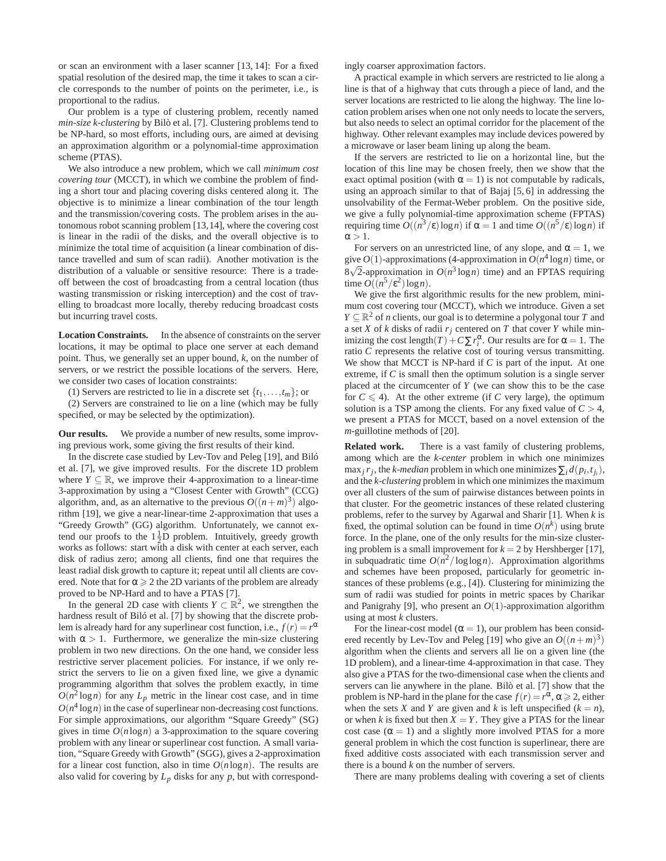or scan an environment with a laser scanner [13, 14]: For a fixed spatial resolution of the desired map, the time it takes to scan a circle corresponds to the number of points on the perimeter, i.e., is proportional to the radius.

Our problem is a type of clustering problem, recently named *min-size k-clustering* by Bilò et al. [7]. Clustering problems tend to be NP-hard, so most efforts, including ours, are aimed at devising an approximation algorithm or a polynomial-time approximation scheme (PTAS).

We also introduce a new problem, which we call *minimum cost covering tour* (MCCT), in which we combine the problem of finding a short tour and placing covering disks centered along it. The objective is to minimize a linear combination of the tour length and the transmission/covering costs. The problem arises in the autonomous robot scanning problem [13,14], where the covering cost is linear in the radii of the disks, and the overall objective is to minimize the total time of acquisition (a linear combination of distance travelled and sum of scan radii). Another motivation is the distribution of a valuable or sensitive resource: There is a tradeoff between the cost of broadcasting from a central location (thus wasting transmission or risking interception) and the cost of travelling to broadcast more locally, thereby reducing broadcast costs but incurring travel costs.

**Location Constraints.** In the absence of constraints on the server locations, it may be optimal to place one server at each demand point. Thus, we generally set an upper bound, *k*, on the number of servers, or we restrict the possible locations of the servers. Here, we consider two cases of location constraints:

(1) Servers are restricted to lie in a discrete set  $\{t_1, \ldots, t_m\}$ ; or

(2) Servers are constrained to lie on a line (which may be fully specified, or may be selected by the optimization).

**Our results.** We provide a number of new results, some improving previous work, some giving the first results of their kind.

In the discrete case studied by Lev-Tov and Peleg [19], and Biló et al. [7], we give improved results. For the discrete 1D problem where  $Y \subseteq \mathbb{R}$ , we improve their 4-approximation to a linear-time 3-approximation by using a "Closest Center with Growth" (CCG) algorithm, and, as an alternative to the previous  $O((n+m)^3)$  algorithm [19], we give a near-linear-time 2-approximation that uses a "Greedy Growth" (GG) algorithm. Unfortunately, we cannot extend our proofs to the  $1\frac{1}{2}$ D problem. Intuitively, greedy growth works as follows: start with a disk with center at each server, each disk of radius zero; among all clients, find one that requires the least radial disk growth to capture it; repeat until all clients are covered. Note that for  $\alpha \geq 2$  the 2D variants of the problem are already proved to be NP-Hard and to have a PTAS [7].

In the general 2D case with clients  $Y \subset \mathbb{R}^2$ , we strengthen the hardness result of Biló et al. [7] by showing that the discrete problem is already hard for any superlinear cost function, i.e.,  $f(r) = r^{\alpha}$ with  $\alpha > 1$ . Furthermore, we generalize the min-size clustering problem in two new directions. On the one hand, we consider less restrictive server placement policies. For instance, if we only restrict the servers to lie on a given fixed line, we give a dynamic programming algorithm that solves the problem exactly, in time  $O(n^2 \log n)$  for any  $L_p$  metric in the linear cost case, and in time  $O(n^4 \log n)$  in the case of superlinear non-decreasing cost functions. For simple approximations, our algorithm "Square Greedy" (SG) gives in time  $O(n \log n)$  a 3-approximation to the square covering problem with any linear or superlinear cost function. A small variation, "Square Greedy with Growth" (SGG), gives a 2-approximation for a linear cost function, also in time  $O(n \log n)$ . The results are also valid for covering by *Lp* disks for any *p*, but with correspondingly coarser approximation factors.

A practical example in which servers are restricted to lie along a line is that of a highway that cuts through a piece of land, and the server locations are restricted to lie along the highway. The line location problem arises when one not only needs to locate the servers, but also needs to select an optimal corridor for the placement of the highway. Other relevant examples may include devices powered by a microwave or laser beam lining up along the beam.

If the servers are restricted to lie on a horizontal line, but the location of this line may be chosen freely, then we show that the exact optimal position (with  $\alpha = 1$ ) is not computable by radicals, using an approach similar to that of Bajaj [5, 6] in addressing the unsolvability of the Fermat-Weber problem. On the positive side, we give a fully polynomial-time approximation scheme (FPTAS) requiring time  $O((n^3/\epsilon)\log n)$  if  $\alpha = 1$  and time  $O((n^5/\epsilon)\log n)$  if  $\alpha > 1$ .

For servers on an unrestricted line, of any slope, and  $\alpha = 1$ , we give  $O(1)$ -approximations (4-approximation in  $O(n^4 \log n)$  time, or  $8\sqrt{2}$ -approximation in  $O(n^3 \log n)$  time) and an FPTAS requiring time  $O((n^5/\epsilon^2) \log n)$ .

We give the first algorithmic results for the new problem, minimum cost covering tour (MCCT), which we introduce. Given a set *Y*  $\subseteq$   $\mathbb{R}^2$  of *n* clients, our goal is to determine a polygonal tour *T* and a set *X* of *k* disks of radii  $r<sub>j</sub>$  centered on *T* that cover *Y* while minimizing the cost length $(T) + C \sum r_i^{\alpha}$ . Our results are for  $\alpha = 1$ . The ratio *C* represents the relative cost of touring versus transmitting. We show that MCCT is NP-hard if *C* is part of the input. At one extreme, if *C* is small then the optimum solution is a single server placed at the circumcenter of *Y* (we can show this to be the case for  $C \leq 4$ ). At the other extreme (if *C* very large), the optimum solution is a TSP among the clients. For any fixed value of  $C > 4$ , we present a PTAS for MCCT, based on a novel extension of the *m*-guillotine methods of [20].

**Related work.** There is a vast family of clustering problems, among which are the *k-center* problem in which one minimizes max<sub>*j*</sub>  $r_j$ , the *k*-*median* problem in which one minimizes  $\sum_i d(p_i, t_{j_i})$ , and the *k-clustering* problem in which one minimizes the maximum over all clusters of the sum of pairwise distances between points in that cluster. For the geometric instances of these related clustering problems, refer to the survey by Agarwal and Sharir [1]. When *k* is fixed, the optimal solution can be found in time  $O(n^k)$  using brute force. In the plane, one of the only results for the min-size clustering problem is a small improvement for  $k = 2$  by Hershberger [17], in subquadratic time  $O(n^2/\log\log n)$ . Approximation algorithms and schemes have been proposed, particularly for geometric instances of these problems (e.g., [4]). Clustering for minimizing the sum of radii was studied for points in metric spaces by Charikar and Panigrahy [9], who present an *O*(1)-approximation algorithm using at most *k* clusters.

For the linear-cost model ( $\alpha = 1$ ), our problem has been considered recently by Lev-Tov and Peleg [19] who give an  $O((n+m)^3)$ algorithm when the clients and servers all lie on a given line (the 1D problem), and a linear-time 4-approximation in that case. They also give a PTAS for the two-dimensional case when the clients and servers can lie anywhere in the plane. Bilò et al. [7] show that the problem is NP-hard in the plane for the case  $f(r) = r^{\alpha}, \alpha \ge 2$ , either when the sets *X* and *Y* are given and *k* is left unspecified  $(k = n)$ , or when *k* is fixed but then  $X = Y$ . They give a PTAS for the linear cost case  $(\alpha = 1)$  and a slightly more involved PTAS for a more general problem in which the cost function is superlinear, there are fixed additive costs associated with each transmission server and there is a bound *k* on the number of servers.

There are many problems dealing with covering a set of clients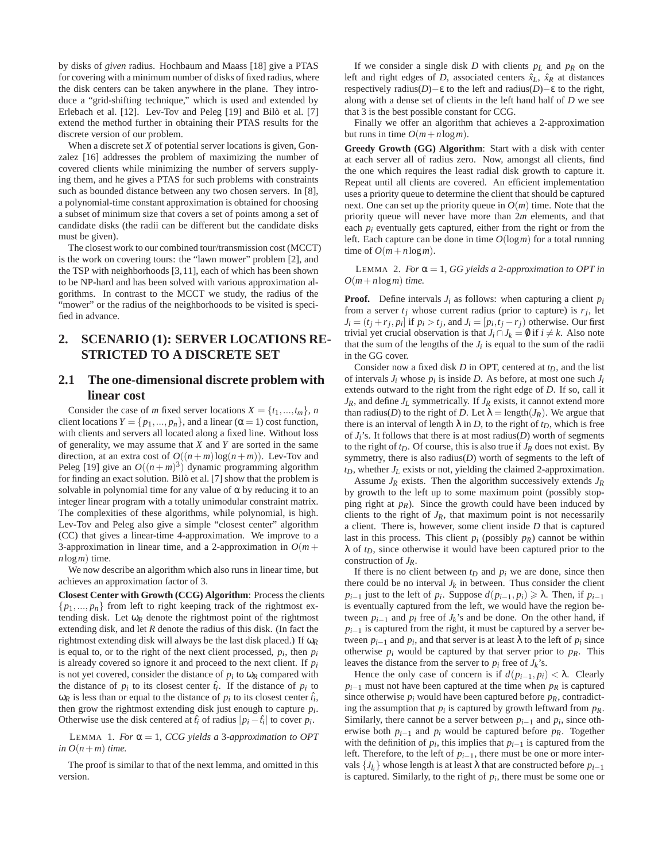by disks of *given* radius. Hochbaum and Maass [18] give a PTAS for covering with a minimum number of disks of fixed radius, where the disk centers can be taken anywhere in the plane. They introduce a "grid-shifting technique," which is used and extended by Erlebach et al. [12]. Lev-Tov and Peleg [19] and Bilò et al. [7] extend the method further in obtaining their PTAS results for the discrete version of our problem.

When a discrete set *X* of potential server locations is given, Gonzalez [16] addresses the problem of maximizing the number of covered clients while minimizing the number of servers supplying them, and he gives a PTAS for such problems with constraints such as bounded distance between any two chosen servers. In [8], a polynomial-time constant approximation is obtained for choosing a subset of minimum size that covers a set of points among a set of candidate disks (the radii can be different but the candidate disks must be given).

The closest work to our combined tour/transmission cost (MCCT) is the work on covering tours: the "lawn mower" problem [2], and the TSP with neighborhoods [3,11], each of which has been shown to be NP-hard and has been solved with various approximation algorithms. In contrast to the MCCT we study, the radius of the "mower" or the radius of the neighborhoods to be visited is specified in advance.

## **2. SCENARIO (1): SERVER LOCATIONS RE-STRICTED TO A DISCRETE SET**

## **2.1 The one-dimensional discrete problem with linear cost**

Consider the case of *m* fixed server locations  $X = \{t_1, ..., t_m\}$ , *n* client locations  $Y = \{p_1, ..., p_n\}$ , and a linear ( $\alpha = 1$ ) cost function, with clients and servers all located along a fixed line. Without loss of generality, we may assume that *X* and *Y* are sorted in the same direction, at an extra cost of  $O((n+m)\log(n+m))$ . Lev-Tov and Peleg [19] give an  $O((n+m)^3)$  dynamic programming algorithm for finding an exact solution. Bilò et al. [7] show that the problem is solvable in polynomial time for any value of  $\alpha$  by reducing it to an integer linear program with a totally unimodular constraint matrix. The complexities of these algorithms, while polynomial, is high. Lev-Tov and Peleg also give a simple "closest center" algorithm (CC) that gives a linear-time 4-approximation. We improve to a 3-approximation in linear time, and a 2-approximation in  $O(m +$ *n*log*m*) time.

We now describe an algorithm which also runs in linear time, but achieves an approximation factor of 3.

**Closest Center with Growth (CCG) Algorithm**: Process the clients  $\{p_1,..., p_n\}$  from left to right keeping track of the rightmost extending disk. Let  $\omega_R$  denote the rightmost point of the rightmost extending disk, and let *R* denote the radius of this disk. (In fact the rightmost extending disk will always be the last disk placed.) If ω*R* is equal to, or to the right of the next client processed,  $p_i$ , then  $p_i$ is already covered so ignore it and proceed to the next client. If *pi* is not yet covered, consider the distance of  $p_i$  to  $\omega_R$  compared with the distance of  $p_i$  to its closest center  $\hat{t}_i$ . If the distance of  $p_i$  to  $\omega_R$  is less than or equal to the distance of  $p_i$  to its closest center  $\hat{t_i}$ , then grow the rightmost extending disk just enough to capture  $p_i$ . Otherwise use the disk centered at  $\hat{t}_i$  of radius  $|p_i - \hat{t}_i|$  to cover  $p_i$ .

LEMMA 1. *For*  $\alpha = 1$ , *CCG yields a* 3*-approximation to OPT in*  $O(n+m)$  *time.* 

The proof is similar to that of the next lemma, and omitted in this version.

If we consider a single disk *D* with clients  $p_L$  and  $p_R$  on the left and right edges of *D*, associated centers  $\hat{x}_L$ ,  $\hat{x}_R$  at distances respectively radius(*D*)−ε to the left and radius(*D*)−ε to the right, along with a dense set of clients in the left hand half of *D* we see that 3 is the best possible constant for CCG.

Finally we offer an algorithm that achieves a 2-approximation but runs in time  $O(m+n\log m)$ .

**Greedy Growth (GG) Algorithm**: Start with a disk with center at each server all of radius zero. Now, amongst all clients, find the one which requires the least radial disk growth to capture it. Repeat until all clients are covered. An efficient implementation uses a priority queue to determine the client that should be captured next. One can set up the priority queue in  $O(m)$  time. Note that the priority queue will never have more than 2*m* elements, and that each *pi* eventually gets captured, either from the right or from the left. Each capture can be done in time *O*(log*m*) for a total running time of  $O(m+n\log m)$ .

LEMMA 2. *For*  $\alpha = 1$ *, GG yields a 2-approximation to OPT in*  $O(m+n \log m)$  *time.* 

**Proof.** Define intervals  $J_i$  as follows: when capturing a client  $p_i$ from a server  $t_j$  whose current radius (prior to capture) is  $r_j$ , let  $J_i = (t_j + r_j, p_i]$  if  $p_i > t_j$ , and  $J_i = [p_i, t_j - r_j]$  otherwise. Our first trivial yet crucial observation is that  $J_i \cap J_k = \emptyset$  if  $i \neq k$ . Also note that the sum of the lengths of the  $J_i$  is equal to the sum of the radii in the GG cover.

Consider now a fixed disk *D* in OPT, centered at  $t_D$ , and the list of intervals  $J_i$  whose  $p_i$  is inside  $D$ . As before, at most one such  $J_i$ extends outward to the right from the right edge of *D*. If so, call it  $J_R$ , and define  $J_L$  symmetrically. If  $J_R$  exists, it cannot extend more than radius(*D*) to the right of *D*. Let  $\lambda = \text{length}(J_R)$ . We argue that there is an interval of length  $\lambda$  in *D*, to the right of  $t_D$ , which is free of  $J_i$ 's. It follows that there is at most radius( $D$ ) worth of segments to the right of  $t_D$ . Of course, this is also true if  $J_R$  does not exist. By symmetry, there is also radius(*D*) worth of segments to the left of *tD*, whether *JL* exists or not, yielding the claimed 2-approximation.

Assume *JR* exists. Then the algorithm successively extends *JR* by growth to the left up to some maximum point (possibly stopping right at *pR*). Since the growth could have been induced by clients to the right of  $J_R$ , that maximum point is not necessarily a client. There is, however, some client inside *D* that is captured last in this process. This client  $p_i$  (possibly  $p_R$ ) cannot be within λ of *tD*, since otherwise it would have been captured prior to the construction of *JR*.

If there is no client between  $t_D$  and  $p_i$  we are done, since then there could be no interval  $J_k$  in between. Thus consider the client  $p_{i-1}$  just to the left of *p<sub>i</sub>*. Suppose  $d(p_{i-1}, p_i) \ge \lambda$ . Then, if  $p_{i-1}$ is eventually captured from the left, we would have the region between  $p_{i-1}$  and  $p_i$  free of  $J_k$ 's and be done. On the other hand, if  $p_{i-1}$  is captured from the right, it must be captured by a server between  $p_{i-1}$  and  $p_i$ , and that server is at least  $\lambda$  to the left of  $p_i$  since otherwise  $p_i$  would be captured by that server prior to  $p_R$ . This leaves the distance from the server to  $p_i$  free of  $J_k$ 's.

Hence the only case of concern is if  $d(p_{i-1}, p_i) < \lambda$ . Clearly  $p_{i-1}$  must not have been captured at the time when  $p_R$  is captured since otherwise  $p_i$  would have been captured before  $p_R$ , contradicting the assumption that  $p_i$  is captured by growth leftward from  $p_R$ . Similarly, there cannot be a server between  $p_{i-1}$  and  $p_i$ , since otherwise both  $p_{i-1}$  and  $p_i$  would be captured before  $p_R$ . Together with the definition of  $p_i$ , this implies that  $p_{i-1}$  is captured from the left. Therefore, to the left of *pi*−1, there must be one or more intervals  $\{J_{l_i}\}$  whose length is at least  $\lambda$  that are constructed before  $p_{i-1}$ is captured. Similarly, to the right of  $p_i$ , there must be some one or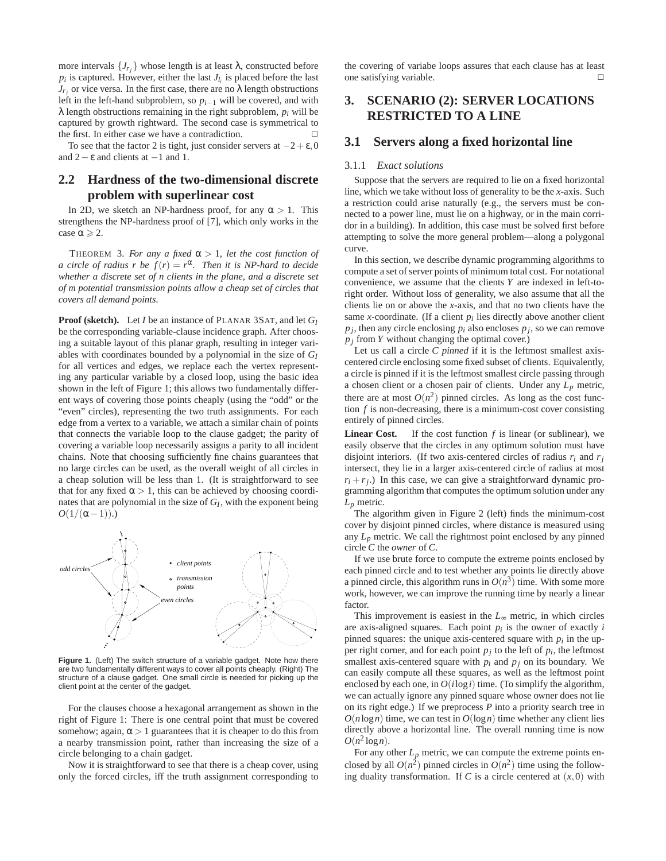more intervals  $\{J_{r_j}\}$  whose length is at least  $\lambda$ , constructed before  $p_i$  is captured. However, either the last  $J_{l_i}$  is placed before the last  $J_{r_j}$  or vice versa. In the first case, there are no  $\lambda$  length obstructions left in the left-hand subproblem, so *pi*−<sup>1</sup> will be covered, and with  $\lambda$  length obstructions remaining in the right subproblem,  $p_i$  will be captured by growth rightward. The second case is symmetrical to the first. In either case we have a contradiction.  $\Box$ 

To see that the factor 2 is tight, just consider servers at  $-2+\epsilon,0$ and  $2-\varepsilon$  and clients at  $-1$  and 1.

## **2.2 Hardness of the two-dimensional discrete problem with superlinear cost**

In 2D, we sketch an NP-hardness proof, for any  $\alpha > 1$ . This strengthens the NP-hardness proof of [7], which only works in the case  $\alpha \geqslant 2$ .

THEOREM 3. *For any a fixed*  $\alpha > 1$ *, let the cost function of a circle of radius r be*  $f(r) = r^{\alpha}$ . Then it is NP-hard to decide *whether a discrete set of n clients in the plane, and a discrete set of m potential transmission points allow a cheap set of circles that covers all demand points.*

**Proof (sketch).** Let *I* be an instance of PLANAR 3SAT, and let *GI* be the corresponding variable-clause incidence graph. After choosing a suitable layout of this planar graph, resulting in integer variables with coordinates bounded by a polynomial in the size of *GI* for all vertices and edges, we replace each the vertex representing any particular variable by a closed loop, using the basic idea shown in the left of Figure 1; this allows two fundamentally different ways of covering those points cheaply (using the "odd" or the "even" circles), representing the two truth assignments. For each edge from a vertex to a variable, we attach a similar chain of points that connects the variable loop to the clause gadget; the parity of covering a variable loop necessarily assigns a parity to all incident chains. Note that choosing sufficiently fine chains guarantees that no large circles can be used, as the overall weight of all circles in a cheap solution will be less than 1. (It is straightforward to see that for any fixed  $\alpha > 1$ , this can be achieved by choosing coordinates that are polynomial in the size of *GI* , with the exponent being  $O(1/(\alpha-1))$ .)



**Figure 1.** (Left) The switch structure of a variable gadget. Note how there are two fundamentally different ways to cover all points cheaply. (Right) The structure of a clause gadget. One small circle is needed for picking up the client point at the center of the gadget.

For the clauses choose a hexagonal arrangement as shown in the right of Figure 1: There is one central point that must be covered somehow; again,  $\alpha > 1$  guarantees that it is cheaper to do this from a nearby transmission point, rather than increasing the size of a circle belonging to a chain gadget.

Now it is straightforward to see that there is a cheap cover, using only the forced circles, iff the truth assignment corresponding to the covering of variabe loops assures that each clause has at least one satisfying variable.  $\Box$ 

## **3. SCENARIO (2): SERVER LOCATIONS RESTRICTED TO A LINE**

### **3.1 Servers along a fixed horizontal line**

#### 3.1.1 *Exact solutions*

Suppose that the servers are required to lie on a fixed horizontal line, which we take without loss of generality to be the *x*-axis. Such a restriction could arise naturally (e.g., the servers must be connected to a power line, must lie on a highway, or in the main corridor in a building). In addition, this case must be solved first before attempting to solve the more general problem—along a polygonal curve.

In this section, we describe dynamic programming algorithms to compute a set of server points of minimum total cost. For notational convenience, we assume that the clients *Y* are indexed in left-toright order. Without loss of generality, we also assume that all the clients lie on or above the *x*-axis, and that no two clients have the same *x*-coordinate. (If a client  $p_i$  lies directly above another client  $p_j$ , then any circle enclosing  $p_i$  also encloses  $p_j$ , so we can remove  $p_j$  from *Y* without changing the optimal cover.)

Let us call a circle *C pinned* if it is the leftmost smallest axiscentered circle enclosing some fixed subset of clients. Equivalently, a circle is pinned if it is the leftmost smallest circle passing through a chosen client or a chosen pair of clients. Under any *Lp* metric, there are at most  $O(n^2)$  pinned circles. As long as the cost function *f* is non-decreasing, there is a minimum-cost cover consisting entirely of pinned circles.

**Linear Cost.** If the cost function *f* is linear (or sublinear), we easily observe that the circles in any optimum solution must have disjoint interiors. (If two axis-centered circles of radius  $r_i$  and  $r_j$ intersect, they lie in a larger axis-centered circle of radius at most  $r_i + r_j$ .) In this case, we can give a straightforward dynamic programming algorithm that computes the optimum solution under any *Lp* metric.

The algorithm given in Figure 2 (left) finds the minimum-cost cover by disjoint pinned circles, where distance is measured using any  $L_p$  metric. We call the rightmost point enclosed by any pinned circle *C* the *owner* of *C*.

If we use brute force to compute the extreme points enclosed by each pinned circle and to test whether any points lie directly above a pinned circle, this algorithm runs in  $O(n^3)$  time. With some more work, however, we can improve the running time by nearly a linear factor.

This improvement is easiest in the *L*∞ metric, in which circles are axis-aligned squares. Each point  $p_i$  is the owner of exactly  $i$ pinned squares: the unique axis-centered square with  $p_i$  in the upper right corner, and for each point  $p_j$  to the left of  $p_i$ , the leftmost smallest axis-centered square with  $p_i$  and  $p_j$  on its boundary. We can easily compute all these squares, as well as the leftmost point enclosed by each one, in  $O(i \log i)$  time. (To simplify the algorithm, we can actually ignore any pinned square whose owner does not lie on its right edge.) If we preprocess *P* into a priority search tree in  $O(n \log n)$  time, we can test in  $O(\log n)$  time whether any client lies directly above a horizontal line. The overall running time is now  $O(n^2 \log n)$ .

For any other  $L_p$  metric, we can compute the extreme points enclosed by all  $O(n^2)$  pinned circles in  $O(n^2)$  time using the following duality transformation. If *C* is a circle centered at  $(x,0)$  with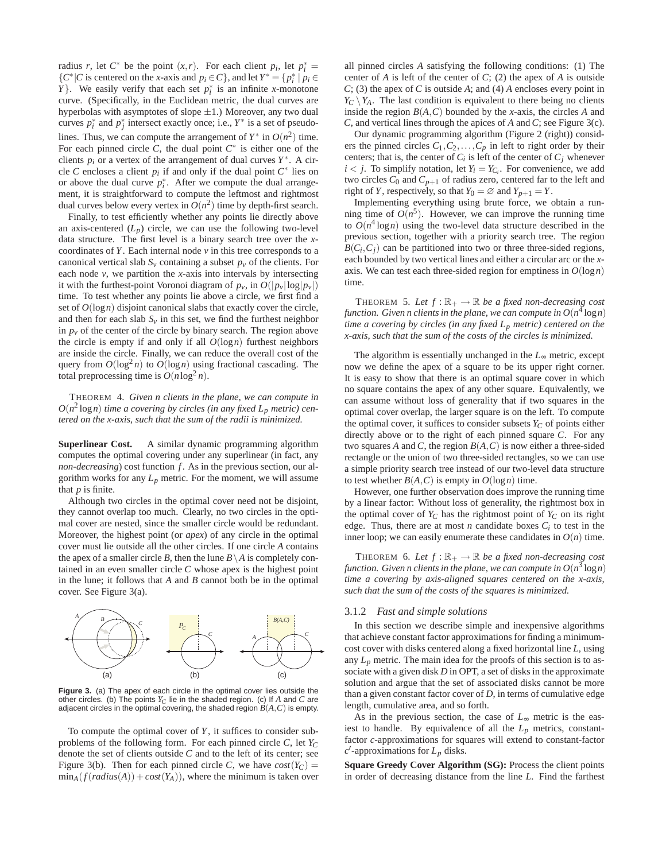radius *r*, let  $C^*$  be the point  $(x, r)$ . For each client  $p_i$ , let  $p_i^* =$  ${C^*}|C$  is centered on the *x*-axis and  $p_i ∈ C$ }, and let  $Y^* = {p_i^*} | p_i ∈ C$ *Y*}. We easily verify that each set  $p_i^*$  is an infinite *x*-monotone curve. (Specifically, in the Euclidean metric, the dual curves are hyperbolas with asymptotes of slope  $\pm 1$ .) Moreover, any two dual curves  $p_i^*$  and  $p_j^*$  intersect exactly once; i.e.,  $Y^*$  is a set of pseudolines. Thus, we can compute the arrangement of  $Y^*$  in  $O(n^2)$  time. For each pinned circle  $C$ , the dual point  $C^*$  is either one of the clients  $p_i$  or a vertex of the arrangement of dual curves  $Y^*$ . A circle *C* encloses a client  $p_i$  if and only if the dual point  $C^*$  lies on or above the dual curve  $p_i^*$ . After we compute the dual arrangement, it is straightforward to compute the leftmost and rightmost dual curves below every vertex in  $O(n^2)$  time by depth-first search.

Finally, to test efficiently whether any points lie directly above an axis-centered  $(L_p)$  circle, we can use the following two-level data structure. The first level is a binary search tree over the *x*coordinates of *Y*. Each internal node *v* in this tree corresponds to a canonical vertical slab  $S_v$  containing a subset  $p_v$  of the clients. For each node *v*, we partition the *x*-axis into intervals by intersecting it with the furthest-point Voronoi diagram of  $p_{\nu}$ , in  $O(|p_{\nu}| \log |p_{\nu}|)$ time. To test whether any points lie above a circle, we first find a set of  $O(\log n)$  disjoint canonical slabs that exactly cover the circle, and then for each slab  $S<sub>v</sub>$  in this set, we find the furthest neighbor in  $p<sub>v</sub>$  of the center of the circle by binary search. The region above the circle is empty if and only if all  $O(log n)$  furthest neighbors are inside the circle. Finally, we can reduce the overall cost of the query from  $O(\log^2 n)$  to  $O(\log n)$  using fractional cascading. The total preprocessing time is  $O(n \log^2 n)$ .

THEOREM 4. *Given n clients in the plane, we can compute in*  $O(n^2 \log n)$  *time a covering by circles (in any fixed*  $L_p$  *metric) centered on the x-axis, such that the sum of the radii is minimized.*

**Superlinear Cost.** A similar dynamic programming algorithm computes the optimal covering under any superlinear (in fact, any *non-decreasing*) cost function *f* . As in the previous section, our algorithm works for any  $L_p$  metric. For the moment, we will assume that *p* is finite.

Although two circles in the optimal cover need not be disjoint, they cannot overlap too much. Clearly, no two circles in the optimal cover are nested, since the smaller circle would be redundant. Moreover, the highest point (or *apex*) of any circle in the optimal cover must lie outside all the other circles. If one circle *A* contains the apex of a smaller circle *B*, then the lune  $B \setminus A$  is completely contained in an even smaller circle *C* whose apex is the highest point in the lune; it follows that *A* and *B* cannot both be in the optimal cover. See Figure 3(a).



**Figure 3.** (a) The apex of each circle in the optimal cover lies outside the other circles. (b) The points *Y<sup>C</sup>* lie in the shaded region. (c) If *A* and *C* are adjacent circles in the optimal covering, the shaded region *B*(*A*,*C*) is empty.

To compute the optimal cover of *Y*, it suffices to consider subproblems of the following form. For each pinned circle *C*, let *Y<sup>C</sup>* denote the set of clients outside *C* and to the left of its center; see Figure 3(b). Then for each pinned circle *C*, we have  $cost(Y_C)$  =  $\min_A(f(radius(A)) + cost(Y_A))$ , where the minimum is taken over all pinned circles *A* satisfying the following conditions: (1) The center of *A* is left of the center of *C*; (2) the apex of *A* is outside *C*; (3) the apex of *C* is outside *A*; and (4) *A* encloses every point in  $Y_C \setminus Y_A$ . The last condition is equivalent to there being no clients inside the region  $B(A, C)$  bounded by the *x*-axis, the circles *A* and *C*, and vertical lines through the apices of *A* and *C*; see Figure 3(c).

Our dynamic programming algorithm (Figure 2 (right)) considers the pinned circles  $C_1, C_2, \ldots, C_p$  in left to right order by their centers; that is, the center of  $C_i$  is left of the center of  $C_j$  whenever  $i < j$ . To simplify notation, let  $Y_i = Y_{C_i}$ . For convenience, we add two circles  $C_0$  and  $C_{p+1}$  of radius zero, centered far to the left and right of *Y*, respectively, so that  $Y_0 = \emptyset$  and  $Y_{p+1} = Y$ .

Implementing everything using brute force, we obtain a running time of  $O(n^5)$ . However, we can improve the running time to  $O(n^4 \log n)$  using the two-level data structure described in the previous section, together with a priority search tree. The region  $B(C_i, C_j)$  can be partitioned into two or three three-sided regions, each bounded by two vertical lines and either a circular arc or the *x*axis. We can test each three-sided region for emptiness in  $O(\log n)$ time.

THEOREM 5. Let  $f : \mathbb{R}_+ \to \mathbb{R}$  be a fixed non-decreasing cost function. Given n clients in the plane, we can compute in  $O(n^4 \log n)$ *time a covering by circles (in any fixed Lp metric) centered on the x-axis, such that the sum of the costs of the circles is minimized.*

The algorithm is essentially unchanged in the  $L_{\infty}$  metric, except now we define the apex of a square to be its upper right corner. It is easy to show that there is an optimal square cover in which no square contains the apex of any other square. Equivalently, we can assume without loss of generality that if two squares in the optimal cover overlap, the larger square is on the left. To compute the optimal cover, it suffices to consider subsets  $Y_C$  of points either directly above or to the right of each pinned square *C*. For any two squares *A* and *C*, the region  $B(A, C)$  is now either a three-sided rectangle or the union of two three-sided rectangles, so we can use a simple priority search tree instead of our two-level data structure to test whether  $B(A, C)$  is empty in  $O(\log n)$  time.

However, one further observation does improve the running time by a linear factor: Without loss of generality, the rightmost box in the optimal cover of  $Y_C$  has the rightmost point of  $Y_C$  on its right edge. Thus, there are at most  $n$  candidate boxes  $C_i$  to test in the inner loop; we can easily enumerate these candidates in  $O(n)$  time.

THEOREM 6. Let  $f : \mathbb{R}_+ \to \mathbb{R}$  be a fixed non-decreasing cost function. Given n clients in the plane, we can compute in  $O(n^3\log n)$ *time a covering by axis-aligned squares centered on the x-axis, such that the sum of the costs of the squares is minimized.*

#### 3.1.2 *Fast and simple solutions*

In this section we describe simple and inexpensive algorithms that achieve constant factor approximations for finding a minimumcost cover with disks centered along a fixed horizontal line *L*, using any  $L_p$  metric. The main idea for the proofs of this section is to associate with a given disk *D* in OPT, a set of disks in the approximate solution and argue that the set of associated disks cannot be more than a given constant factor cover of *D*, in terms of cumulative edge length, cumulative area, and so forth.

As in the previous section, the case of *L*∞ metric is the easiest to handle. By equivalence of all the  $L_p$  metrics, constantfactor *c*-approximations for squares will extend to constant-factor *c* ′ -approximations for *Lp* disks.

**Square Greedy Cover Algorithm (SG):** Process the client points in order of decreasing distance from the line *L*. Find the farthest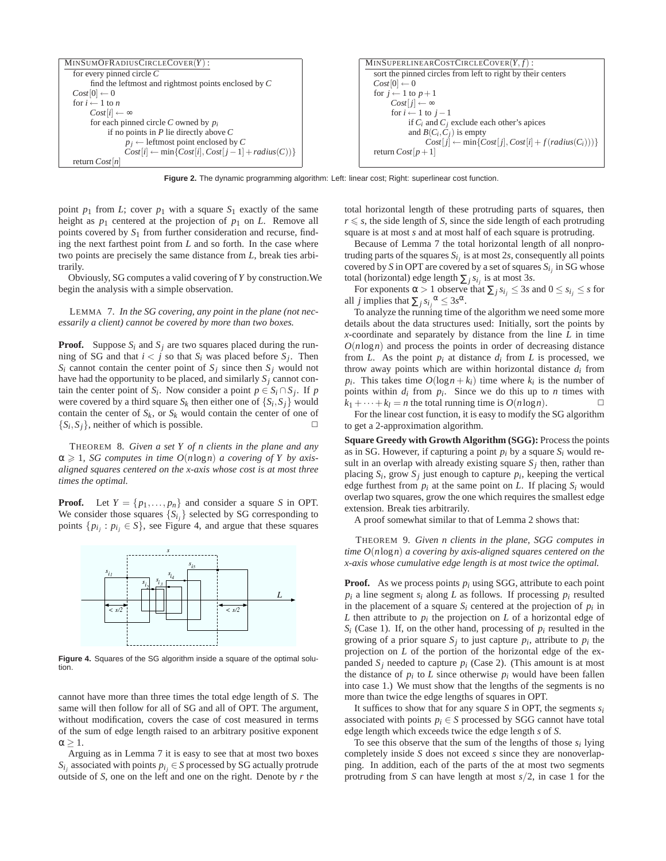

**Figure 2.** The dynamic programming algorithm: Left: linear cost; Right: superlinear cost function.

point  $p_1$  from *L*; cover  $p_1$  with a square  $S_1$  exactly of the same height as  $p_1$  centered at the projection of  $p_1$  on *L*. Remove all points covered by *S*<sup>1</sup> from further consideration and recurse, finding the next farthest point from *L* and so forth. In the case where two points are precisely the same distance from *L*, break ties arbitrarily.

Obviously, SG computes a valid covering of *Y* by construction.We begin the analysis with a simple observation.

LEMMA 7. *In the SG covering, any point in the plane (not necessarily a client) cannot be covered by more than two boxes.*

**Proof.** Suppose  $S_i$  and  $S_j$  are two squares placed during the running of SG and that  $i < j$  so that  $S_i$  was placed before  $S_j$ . Then  $S_i$  cannot contain the center point of  $S_j$  since then  $S_j$  would not have had the opportunity to be placed, and similarly *Sj* cannot contain the center point of *S<sub>i</sub>*. Now consider a point  $p \in S_i \cap S_j$ . If *p* were covered by a third square  $S_k$  then either one of  $\{S_i, S_j\}$  would contain the center of  $S_k$ , or  $S_k$  would contain the center of one of  ${S_i, S_j}$ , neither of which is possible.

THEOREM 8. *Given a set Y of n clients in the plane and any*  $\alpha \geq 1$ , *SG computes in time O(nlogn) a covering of Y by axisaligned squares centered on the x-axis whose cost is at most three times the optimal.*

**Proof.** Let  $Y = \{p_1, \ldots, p_n\}$  and consider a square *S* in OPT. We consider those squares  $\{S_i\}$  selected by SG corresponding to points  $\{p_{i_j} : p_{i_j} \in S\}$ , see Figure 4, and argue that these squares



**Figure 4.** Squares of the SG algorithm inside a square of the optimal solution.

cannot have more than three times the total edge length of *S*. The same will then follow for all of SG and all of OPT. The argument, without modification, covers the case of cost measured in terms of the sum of edge length raised to an arbitrary positive exponent  $\alpha \geq 1$ .

Arguing as in Lemma 7 it is easy to see that at most two boxes  $S_{i_j}$  associated with points  $p_{i_j} \in S$  processed by SG actually protrude outside of *S*, one on the left and one on the right. Denote by *r* the total horizontal length of these protruding parts of squares, then  $r \leq s$ , the side length of *S*, since the side length of each protruding square is at most *s* and at most half of each square is protruding.

Because of Lemma 7 the total horizontal length of all nonprotruding parts of the squares  $S_{i_j}$  is at most 2*s*, consequently all points covered by *S* in OPT are covered by a set of squares  $S_{i_j}$  in SG whose total (horizontal) edge length  $\sum_j s_{i_j}$  is at most 3*s*.

For exponents  $\alpha > 1$  observe that  $\sum_j s_{i_j} \leq 3s$  and  $0 \leq s_{i_j} \leq s$  for all *j* implies that  $\sum_j s_{i_j}^{\alpha} \leq 3s^{\alpha}$ .

To analyze the running time of the algorithm we need some more details about the data structures used: Initially, sort the points by *x*-coordinate and separately by distance from the line *L* in time  $O(n \log n)$  and process the points in order of decreasing distance from *L*. As the point  $p_i$  at distance  $d_i$  from *L* is processed, we throw away points which are within horizontal distance *di* from *p*<sup>*i*</sup>. This takes time  $O(\log n + k_i)$  time where  $k_i$  is the number of points within  $d_i$  from  $p_i$ . Since we do this up to  $n$  times with  $k_1 + \cdots + k_l = n$  the total running time is  $O(n \log n)$ .

For the linear cost function, it is easy to modify the SG algorithm to get a 2-approximation algorithm.

**Square Greedy with Growth Algorithm (SGG):** Process the points as in SG. However, if capturing a point  $p_i$  by a square  $S_i$  would result in an overlap with already existing square  $S_j$  then, rather than placing  $S_i$ , grow  $S_j$  just enough to capture  $p_i$ , keeping the vertical edge furthest from  $p_i$  at the same point on  $L$ . If placing  $S_i$  would overlap two squares, grow the one which requires the smallest edge extension. Break ties arbitrarily.

A proof somewhat similar to that of Lemma 2 shows that:

THEOREM 9. *Given n clients in the plane, SGG computes in time O*(*n*log*n*) *a covering by axis-aligned squares centered on the x-axis whose cumulative edge length is at most twice the optimal.*

**Proof.** As we process points  $p_i$  using SGG, attribute to each point  $p_i$  a line segment  $s_i$  along *L* as follows. If processing  $p_i$  resulted in the placement of a square  $S_i$  centered at the projection of  $p_i$  in *L* then attribute to  $p_i$  the projection on *L* of a horizontal edge of  $S_i$  (Case 1). If, on the other hand, processing of  $p_i$  resulted in the growing of a prior square  $S_j$  to just capture  $p_i$ , attribute to  $p_i$  the projection on *L* of the portion of the horizontal edge of the expanded  $S_j$  needed to capture  $p_i$  (Case 2). (This amount is at most the distance of  $p_i$  to  $L$  since otherwise  $p_i$  would have been fallen into case 1.) We must show that the lengths of the segments is no more than twice the edge lengths of squares in OPT.

It suffices to show that for any square *S* in OPT, the segments  $s_i$ associated with points  $p_i \in S$  processed by SGG cannot have total edge length which exceeds twice the edge length *s* of *S*.

To see this observe that the sum of the lengths of those  $s_i$  lying completely inside *S* does not exceed *s* since they are nonoverlapping. In addition, each of the parts of the at most two segments protruding from *S* can have length at most *s*/2, in case 1 for the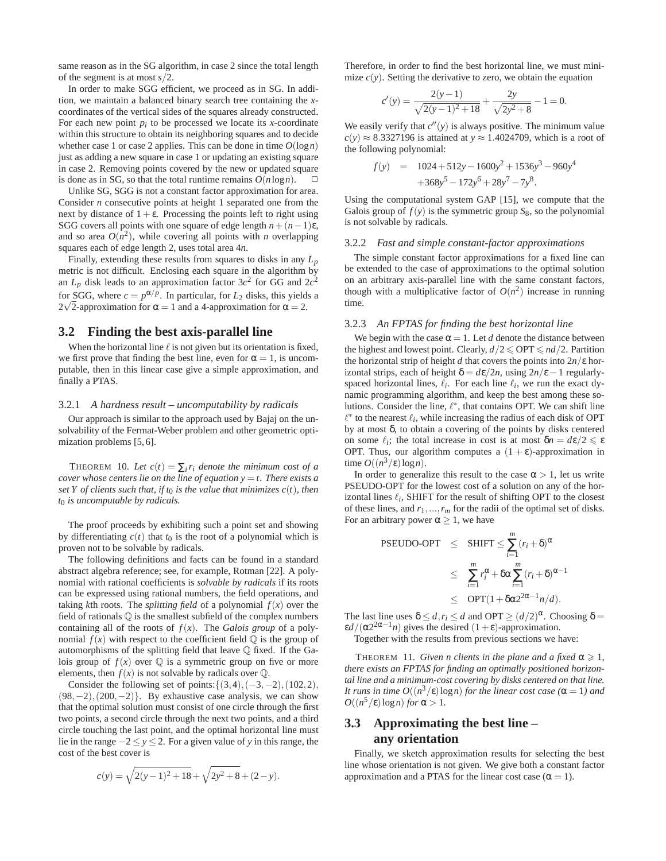same reason as in the SG algorithm, in case 2 since the total length of the segment is at most *s*/2.

In order to make SGG efficient, we proceed as in SG. In addition, we maintain a balanced binary search tree containing the *x*coordinates of the vertical sides of the squares already constructed. For each new point  $p_i$  to be processed we locate its *x*-coordinate within this structure to obtain its neighboring squares and to decide whether case 1 or case 2 applies. This can be done in time  $O(\log n)$ just as adding a new square in case 1 or updating an existing square in case 2. Removing points covered by the new or updated square is done as in SG, so that the total runtime remains  $O(n \log n)$ .  $\Box$ 

Unlike SG, SGG is not a constant factor approximation for area. Consider *n* consecutive points at height 1 separated one from the next by distance of  $1+\epsilon$ . Processing the points left to right using SGG covers all points with one square of edge length  $n + (n-1)\varepsilon$ , and so area  $O(n^2)$ , while covering all points with *n* overlapping squares each of edge length 2, uses total area 4*n*.

Finally, extending these results from squares to disks in any *Lp* metric is not difficult. Enclosing each square in the algorithm by an  $L_p$  disk leads to an approximation factor  $3c^2$  for GG and  $2c^2$ for SGG, where  $c = p^{\alpha/p}$ . In particular, for  $L_2$  disks, this yields a  $2\sqrt{2}$ -approximation for α = 1 and a 4-approximation for α = 2.

### **3.2 Finding the best axis-parallel line**

When the horizontal line  $\ell$  is not given but its orientation is fixed, we first prove that finding the best line, even for  $\alpha = 1$ , is uncomputable, then in this linear case give a simple approximation, and finally a PTAS.

#### 3.2.1 *A hardness result – uncomputability by radicals*

Our approach is similar to the approach used by Bajaj on the unsolvability of the Fermat-Weber problem and other geometric optimization problems [5, 6].

THEOREM 10. Let  $c(t) = \sum_i r_i$  denote the minimum cost of a *cover whose centers lie on the line of equation*  $y = t$ *. There exists a set Y of clients such that, if*  $t_0$  *is the value that minimizes*  $c(t)$ *, then t*<sup>0</sup> *is uncomputable by radicals.*

The proof proceeds by exhibiting such a point set and showing by differentiating  $c(t)$  that  $t_0$  is the root of a polynomial which is proven not to be solvable by radicals.

The following definitions and facts can be found in a standard abstract algebra reference; see, for example, Rotman [22]. A polynomial with rational coefficients is *solvable by radicals* if its roots can be expressed using rational numbers, the field operations, and taking *k*th roots. The *splitting field* of a polynomial  $f(x)$  over the field of rationals Q is the smallest subfield of the complex numbers containing all of the roots of  $f(x)$ . The *Galois group* of a polynomial  $f(x)$  with respect to the coefficient field  $\mathbb Q$  is the group of automorphisms of the splitting field that leave Q fixed. If the Galois group of  $f(x)$  over  $\mathbb Q$  is a symmetric group on five or more elements, then  $f(x)$  is not solvable by radicals over  $\mathbb{Q}$ .

Consider the following set of points: $\{(3,4),(-3,-2),(102,2),$  $(98, -2), (200, -2)$ . By exhaustive case analysis, we can show that the optimal solution must consist of one circle through the first two points, a second circle through the next two points, and a third circle touching the last point, and the optimal horizontal line must lie in the range −2 ≤ *y* ≤ 2. For a given value of *y* in this range, the cost of the best cover is

$$
c(y) = \sqrt{2(y-1)^2 + 18} + \sqrt{2y^2 + 8} + (2 - y).
$$

Therefore, in order to find the best horizontal line, we must minimize  $c(y)$ . Setting the derivative to zero, we obtain the equation

$$
c'(y) = \frac{2(y-1)}{\sqrt{2(y-1)^2 + 18}} + \frac{2y}{\sqrt{2y^2 + 8}} - 1 = 0.
$$

We easily verify that  $c''(y)$  is always positive. The minimum value  $c(y) \approx 8.3327196$  is attained at  $y \approx 1.4024709$ , which is a root of the following polynomial:

$$
f(y) = 1024 + 512y - 1600y^{2} + 1536y^{3} - 960y^{4}
$$

$$
+368y^{5} - 172y^{6} + 28y^{7} - 7y^{8}.
$$

Using the computational system GAP [15], we compute that the Galois group of  $f(y)$  is the symmetric group  $S_8$ , so the polynomial is not solvable by radicals.

#### 3.2.2 *Fast and simple constant-factor approximations*

The simple constant factor approximations for a fixed line can be extended to the case of approximations to the optimal solution on an arbitrary axis-parallel line with the same constant factors, though with a multiplicative factor of  $O(n^2)$  increase in running time.

#### 3.2.3 *An FPTAS for finding the best horizontal line*

We begin with the case  $\alpha = 1$ . Let *d* denote the distance between the highest and lowest point. Clearly,  $d/2 \leq \text{OPT} \leq n d/2$ . Partition the horizontal strip of height *d* that covers the points into  $2n/\epsilon$  horizontal strips, each of height  $\delta = d\varepsilon/2n$ , using  $2n/\varepsilon - 1$  regularlyspaced horizontal lines,  $\ell_i$ . For each line  $\ell_i$ , we run the exact dynamic programming algorithm, and keep the best among these solutions. Consider the line,  $\ell^*$ , that contains OPT. We can shift line  $\ell^*$  to the nearest  $\ell_i$ , while increasing the radius of each disk of OPT by at most δ, to obtain a covering of the points by disks centered on some  $\ell_i$ ; the total increase in cost is at most  $\delta n = d\varepsilon/2 \leq \varepsilon$ OPT. Thus, our algorithm computes a  $(1 + \varepsilon)$ -approximation in time  $O((n^3/\epsilon)\log n)$ .

In order to generalize this result to the case  $\alpha > 1$ , let us write PSEUDO-OPT for the lowest cost of a solution on any of the horizontal lines  $\ell_i$ , SHIFT for the result of shifting OPT to the closest of these lines, and *r*1,...,*r<sup>m</sup>* for the radii of the optimal set of disks. For an arbitrary power  $\alpha \geq 1$ , we have

PSEUDO-OPT 
$$
\leq
$$
 SHIFT  $\leq \sum_{i=1}^{m} (r_i + \delta)^{\alpha}$   
 $\leq \sum_{i=1}^{m} r_i^{\alpha} + \delta \alpha \sum_{i=1}^{m} (r_i + \delta)^{\alpha - 1}$   
 $\leq OPT(1 + \delta \alpha 2^{2\alpha - 1} n/d).$ 

The last line uses  $\delta \le d, r_i \le d$  and OPT  $\ge (d/2)^{\alpha}$ . Choosing  $\delta =$  $\epsilon d/(\alpha 2^{2\alpha-1}n)$  gives the desired  $(1+\epsilon)$ -approximation.

Together with the results from previous sections we have:

THEOREM 11. *Given n clients in the plane and a fixed*  $\alpha \geq 1$ *, there exists an FPTAS for finding an optimally positioned horizontal line and a minimum-cost covering by disks centered on that line. It runs in time*  $O((n^3/\epsilon) \log n)$  *for the linear cost case* ( $\alpha = 1$ ) *and*  $O((n^5/\epsilon)\log n)$  *for*  $\alpha > 1$ *.* 

## **3.3 Approximating the best line – any orientation**

Finally, we sketch approximation results for selecting the best line whose orientation is not given. We give both a constant factor approximation and a PTAS for the linear cost case ( $\alpha = 1$ ).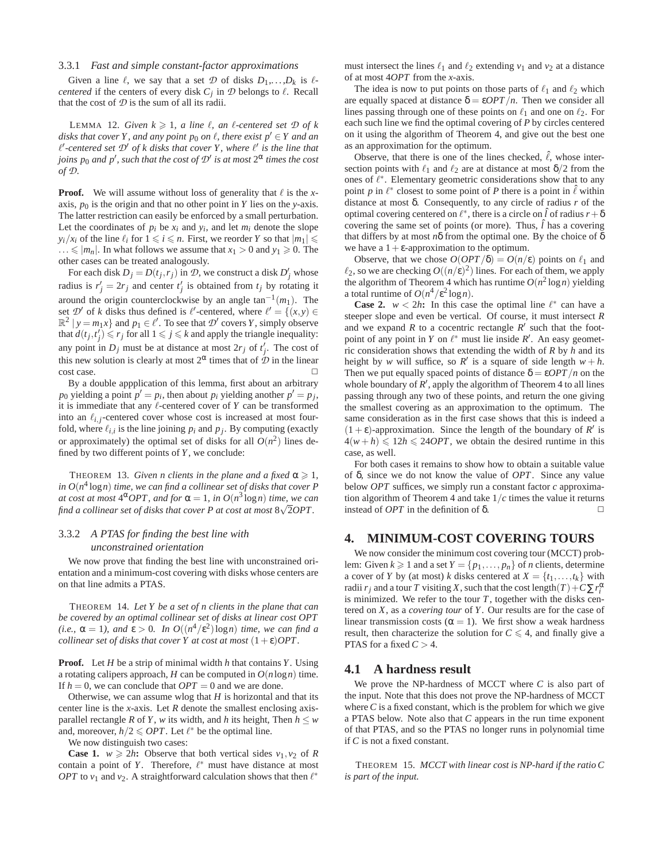#### 3.3.1 *Fast and simple constant-factor approximations*

Given a line  $\ell$ , we say that a set  $\mathcal{D}$  of disks  $D_1, \ldots, D_k$  is  $\ell$ *centered* if the centers of every disk  $C_j$  in  $\mathcal D$  belongs to  $\ell$ . Recall that the cost of  $D$  is the sum of all its radii.

LEMMA 12. *Given*  $k \ge 1$ *, a line*  $\ell$ *, an*  $\ell$ *-centered set*  $\mathcal{D}$  *of*  $k$ *disks that cover Y, and any point*  $p_0$  *on*  $\ell$ *, there exist*  $p' \in Y$  *and an*  $\ell'$ -centered set  $\mathcal{D}'$  of k disks that cover Y, where  $\ell'$  is the line that *joins p*<sup>0</sup> *and p<sup>'</sup>, such that the cost of*  $\mathcal{D}'$  *is at most*  $2^{\alpha}$  *times the cost of D.*

**Proof.** We will assume without loss of generality that  $\ell$  is the *x*axis,  $p_0$  is the origin and that no other point in *Y* lies on the *y*-axis. The latter restriction can easily be enforced by a small perturbation. Let the coordinates of  $p_i$  be  $x_i$  and  $y_i$ , and let  $m_i$  denote the slope  $y_i/x_i$  of the line  $\ell_i$  for  $1 \leq i \leq n$ . First, we reorder *Y* so that  $|m_1| \leq$  $\ldots \leqslant |m_n|$ . In what follows we assume that  $x_1 > 0$  and  $y_1 \geqslant 0$ . The other cases can be treated analogously.

For each disk  $D_j = D(t_j, r_j)$  in  $\mathcal{D}$ , we construct a disk  $D'_j$  whose radius is  $r'_j = 2r_j$  and center  $t'_j$  is obtained from  $t_j$  by rotating it around the origin counterclockwise by an angle  $tan^{-1}(m_1)$ . The set  $\mathcal{D}'$  of *k* disks thus defined is  $\ell'$ -centered, where  $\ell' = \{(x, y) \in \mathbb{R}^d : |f(x, y)| \leq \ell'$  $\mathbb{R}^2 | y = m_1 x$  and  $p_1 \in \ell'$ . To see that  $\mathcal{D}'$  covers *Y*, simply observe that  $d(t_j, t'_j) \le r_j$  for all  $1 \le j \le k$  and apply the triangle inequality: any point in  $D_j$  must be at distance at most  $2r_j$  of  $t'_j$ . The cost of this new solution is clearly at most  $2^{\alpha}$  times that of  $\mathcal{D}$  in the linear cost case.

By a double appplication of this lemma, first about an arbitrary  $p_0$  yielding a point  $p' = p_i$ , then about  $p_i$  yielding another  $p' = p_j$ , it is immediate that any ℓ-centered cover of *Y* can be transformed into an  $\ell_{i,j}$ -centered cover whose cost is increased at most fourfold, where  $\ell_{i,i}$  is the line joining  $p_i$  and  $p_j$ . By computing (exactly or approximately) the optimal set of disks for all  $O(n^2)$  lines defined by two different points of *Y*, we conclude:

THEOREM 13. *Given n clients in the plane and a fixed*  $\alpha \geq 1$ *, in O*(*n* 4 log*n*) *time, we can find a collinear set of disks that cover P at cost at most*  $4^{\alpha}$ *OPT, and for*  $\alpha = 1$ *, in*  $O(n^3 \log n)$  *time, we can* find a collinear set of disks that cover P at cost at most  $8\sqrt{2}$ OPT.

## 3.3.2 *A PTAS for finding the best line with unconstrained orientation*

We now prove that finding the best line with unconstrained orientation and a minimum-cost covering with disks whose centers are on that line admits a PTAS.

THEOREM 14. *Let Y be a set of n clients in the plane that can be covered by an optimal collinear set of disks at linear cost OPT* (*i.e.*,  $\alpha = 1$ *), and*  $\epsilon > 0$ *. In*  $O((n^4/\epsilon^2) \log n)$  *time, we can find a collinear set of disks that cover Y at cost at most*  $(1+\varepsilon)OPT$ .

**Proof.** Let *H* be a strip of minimal width *h* that contains *Y*. Using a rotating calipers approach, *H* can be computed in  $O(n \log n)$  time. If  $h = 0$ , we can conclude that  $OPT = 0$  and we are done.

Otherwise, we can assume wlog that *H* is horizontal and that its center line is the *x*-axis. Let *R* denote the smallest enclosing axisparallel rectangle *R* of *Y*, *w* its width, and *h* its height, Then  $h \leq w$ and, moreover,  $h/2 \leqslant OPT$ . Let  $\ell^*$  be the optimal line.

We now distinguish two cases:

**Case 1.**  $w \ge 2h$ **:** Observe that both vertical sides  $v_1, v_2$  of R contain a point of *Y*. Therefore,  $\ell^*$  must have distance at most *OPT* to  $v_1$  and  $v_2$ . A straightforward calculation shows that then  $\ell^*$ 

must intersect the lines  $\ell_1$  and  $\ell_2$  extending  $v_1$  and  $v_2$  at a distance of at most 4*OPT* from the *x*-axis.

The idea is now to put points on those parts of  $\ell_1$  and  $\ell_2$  which are equally spaced at distance  $\delta = \varepsilon OPT/n$ . Then we consider all lines passing through one of these points on  $\ell_1$  and one on  $\ell_2$ . For each such line we find the optimal covering of *P* by circles centered on it using the algorithm of Theorem 4, and give out the best one as an approximation for the optimum.

Observe, that there is one of the lines checked,  $\ell$ , whose intersection points with  $\ell_1$  and  $\ell_2$  are at distance at most  $\delta/2$  from the ones of  $\ell^*$ . Elementary geometric considerations show that to any point *p* in  $\ell^*$  closest to some point of *P* there is a point in  $\ell$  within distance at most δ. Consequently, to any circle of radius *r* of the optimal covering centered on  $\ell^*$ , there is a circle on  $\hat{l}$  of radius  $r + \delta$ covering the same set of points (or more). Thus,  $\hat{l}$  has a covering that differs by at most *n*δ from the optimal one. By the choice of δ we have a  $1+\varepsilon$ -approximation to the optimum.

Observe, that we chose  $O(OPT/\delta) = O(n/\epsilon)$  points on  $\ell_1$  and  $\ell_2$ , so we are checking  $O((n/\varepsilon)^2)$  lines. For each of them, we apply the algorithm of Theorem 4 which has runtime  $O(n^2 \log n)$  yielding a total runtime of  $O(n^4/\epsilon^2 \log n)$ .

**Case 2.**  $w < 2h$ : In this case the optimal line  $\ell^*$  can have a steeper slope and even be vertical. Of course, it must intersect *R* and we expand R to a cocentric rectangle  $R'$  such that the footpoint of any point in *Y* on  $\ell^*$  must lie inside  $R'$ . An easy geometric consideration shows that extending the width of *R* by *h* and its height by *w* will suffice, so  $R'$  is a square of side length  $w + h$ . Then we put equally spaced points of distance  $\delta = \varepsilon OPT/n$  on the whole boundary of  $R'$ , apply the algorithm of Theorem 4 to all lines passing through any two of these points, and return the one giving the smallest covering as an approximation to the optimum. The same consideration as in the first case shows that this is indeed a  $(1 + \varepsilon)$ -approximation. Since the length of the boundary of *R'* is  $4(w+h) \leq 12h \leq 24OPT$ , we obtain the desired runtime in this case, as well.

For both cases it remains to show how to obtain a suitable value of δ, since we do not know the value of *OPT*. Since any value below *OPT* suffices, we simply run a constant factor *c* approximation algorithm of Theorem 4 and take 1/*c* times the value it returns instead of *OPT* in the definition of δ.  $\Box$ 

## **4. MINIMUM-COST COVERING TOURS**

We now consider the minimum cost covering tour (MCCT) problem: Given  $k \ge 1$  and a set  $Y = \{p_1, \ldots, p_n\}$  of *n* clients, determine a cover of *Y* by (at most) *k* disks centered at  $X = \{t_1, \ldots, t_k\}$  with radii  $r_j$  and a tour *T* visiting *X*, such that the cost length(*T*) +  $C \sum r_i^{\alpha}$ is minimized. We refer to the tour  $T$ , together with the disks centered on *X*, as a *covering tour* of *Y*. Our results are for the case of linear transmission costs ( $\alpha = 1$ ). We first show a weak hardness result, then characterize the solution for  $C \leq 4$ , and finally give a PTAS for a fixed  $C > 4$ .

### **4.1 A hardness result**

We prove the NP-hardness of MCCT where *C* is also part of the input. Note that this does not prove the NP-hardness of MCCT where*C* is a fixed constant, which is the problem for which we give a PTAS below. Note also that *C* appears in the run time exponent of that PTAS, and so the PTAS no longer runs in polynomial time if *C* is not a fixed constant.

THEOREM 15. *MCCT with linear cost is NP-hard if the ratio C is part of the input.*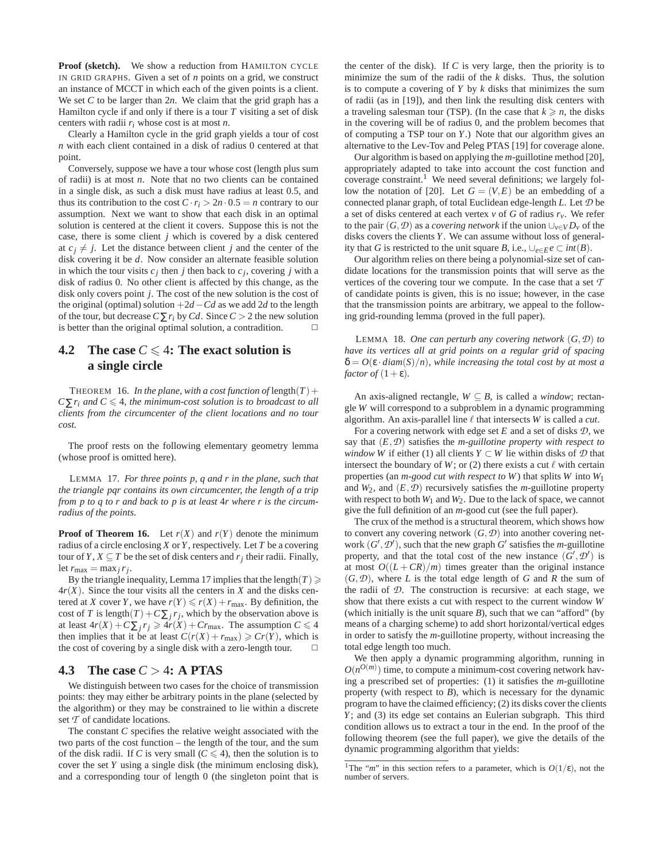**Proof (sketch).** We show a reduction from HAMILTON CYCLE IN GRID GRAPHS. Given a set of *n* points on a grid, we construct an instance of MCCT in which each of the given points is a client. We set *C* to be larger than 2*n*. We claim that the grid graph has a Hamilton cycle if and only if there is a tour *T* visiting a set of disk centers with radii *ri* whose cost is at most *n*.

Clearly a Hamilton cycle in the grid graph yields a tour of cost *n* with each client contained in a disk of radius 0 centered at that point.

Conversely, suppose we have a tour whose cost (length plus sum of radii) is at most *n*. Note that no two clients can be contained in a single disk, as such a disk must have radius at least 0.5, and thus its contribution to the cost  $C \cdot r_i > 2n \cdot 0.5 = n$  contrary to our assumption. Next we want to show that each disk in an optimal solution is centered at the client it covers. Suppose this is not the case, there is some client *j* which is covered by a disk centered at  $c_i \neq j$ . Let the distance between client *j* and the center of the disk covering it be *d*. Now consider an alternate feasible solution in which the tour visits  $c_j$  then *j* then back to  $c_j$ , covering *j* with a disk of radius 0. No other client is affected by this change, as the disk only covers point *j*. The cost of the new solution is the cost of the original (optimal) solution  $+2d - Cd$  as we add 2*d* to the length of the tour, but decrease  $C \sum r_i$  by  $Cd$ . Since  $C > 2$  the new solution is better than the original optimal solution, a contradition.  $\Box$ 

## **4.2** The case  $C \leq 4$ : The exact solution is **a single circle**

THEOREM 16. *In the plane, with a cost function of* length $(T)$  +  $C\sum r_i$  *and*  $C \leq 4$ *, the minimum-cost solution is to broadcast to all clients from the circumcenter of the client locations and no tour cost.*

The proof rests on the following elementary geometry lemma (whose proof is omitted here).

LEMMA 17. *For three points p, q and r in the plane, such that the triangle pqr contains its own circumcenter, the length of a trip from p to q to r and back to p is at least* 4*r where r is the circumradius of the points.*

**Proof of Theorem 16.** Let  $r(X)$  and  $r(Y)$  denote the minimum radius of a circle enclosing *X* or *Y*, respectively. Let *T* be a covering tour of *Y*, *X*  $\subseteq$  *T* be the set of disk centers and  $r_j$  their radii. Finally, let  $r_{\text{max}} = \max_j r_j$ .

By the triangle inequality, Lemma 17 implies that the length( $T \geq$  $4r(X)$ . Since the tour visits all the centers in X and the disks centered at *X* cover *Y*, we have  $r(Y) \le r(X) + r_{\text{max}}$ . By definition, the cost of *T* is length $(T) + C \sum_j r_j$ , which by the observation above is at least  $4r(X) + C\sum_j r_j \geq 4r(X) + Cr_{\text{max}}$ . The assumption  $C \leq 4$ then implies that it be at least  $C(r(X) + r_{\text{max}}) \geqslant Cr(Y)$ , which is the cost of covering by a single disk with a zero-length tour.  $\Box$ 

## **4.3 The case** *C* > 4**: A PTAS**

We distinguish between two cases for the choice of transmission points: they may either be arbitrary points in the plane (selected by the algorithm) or they may be constrained to lie within a discrete set *T* of candidate locations.

The constant *C* specifies the relative weight associated with the two parts of the cost function – the length of the tour, and the sum of the disk radii. If *C* is very small ( $C \leq 4$ ), then the solution is to cover the set *Y* using a single disk (the minimum enclosing disk), and a corresponding tour of length 0 (the singleton point that is the center of the disk). If *C* is very large, then the priority is to minimize the sum of the radii of the *k* disks. Thus, the solution is to compute a covering of *Y* by *k* disks that minimizes the sum of radii (as in [19]), and then link the resulting disk centers with a traveling salesman tour (TSP). (In the case that  $k \ge n$ , the disks in the covering will be of radius 0, and the problem becomes that of computing a TSP tour on *Y*.) Note that our algorithm gives an alternative to the Lev-Tov and Peleg PTAS [19] for coverage alone.

Our algorithm is based on applying the *m*-guillotine method [20], appropriately adapted to take into account the cost function and coverage constraint.<sup>1</sup> We need several definitions; we largely follow the notation of [20]. Let  $G = (V, E)$  be an embedding of a connected planar graph, of total Euclidean edge-length *L*. Let *D* be a set of disks centered at each vertex  $v$  of *G* of radius  $r_v$ . We refer to the pair  $(G, D)$  as a *covering network* if the union  $\bigcup_{v \in V} D_v$  of the disks covers the clients *Y*. We can assume without loss of generality that *G* is restricted to the unit square *B*, i.e.,  $\bigcup_{e \in E} e \subset int(B)$ .

Our algorithm relies on there being a polynomial-size set of candidate locations for the transmission points that will serve as the vertices of the covering tour we compute. In the case that a set *T* of candidate points is given, this is no issue; however, in the case that the transmission points are arbitrary, we appeal to the following grid-rounding lemma (proved in the full paper).

LEMMA 18. *One can perturb any covering network* (*G*,*D*) *to have its vertices all at grid points on a regular grid of spacing*  $\delta = O(\varepsilon \cdot \text{diam}(S)/n)$ , while increasing the total cost by at most a *factor of*  $(1+\epsilon)$ *.* 

An axis-aligned rectangle,  $W \subseteq B$ , is called a *window*; rectangle *W* will correspond to a subproblem in a dynamic programming algorithm. An axis-parallel line  $\ell$  that intersects *W* is called a *cut*.

For a covering network with edge set *E* and a set of disks *D*, we say that (*E*,*D*) satisfies the *m-guillotine property with respect to window W* if either (1) all clients *Y*  $\subset$  *W* lie within disks of  $D$  that intersect the boundary of *W*; or (2) there exists a cut  $\ell$  with certain properties (an *m-good cut with respect to W*) that splits *W* into *W*<sup>1</sup> and  $W_2$ , and  $(E, \mathcal{D})$  recursively satisfies the *m*-guillotine property with respect to both  $W_1$  and  $W_2$ . Due to the lack of space, we cannot give the full definition of an *m*-good cut (see the full paper).

The crux of the method is a structural theorem, which shows how to convert any covering network  $(G, \mathcal{D})$  into another covering network  $(G', \mathcal{D}')$ , such that the new graph  $G'$  satisfies the *m*-guillotine property, and that the total cost of the new instance  $(G', \mathcal{D}')$  is at most  $O((L+CR)/m)$  times greater than the original instance  $(G, \mathcal{D})$ , where *L* is the total edge length of *G* and *R* the sum of the radii of *D*. The construction is recursive: at each stage, we show that there exists a cut with respect to the current window *W* (which initially is the unit square  $B$ ), such that we can "afford" (by means of a charging scheme) to add short horizontal/vertical edges in order to satisfy the *m*-guillotine property, without increasing the total edge length too much.

We then apply a dynamic programming algorithm, running in  $O(n^{O(m)})$  time, to compute a minimum-cost covering network having a prescribed set of properties: (1) it satisfies the *m*-guillotine property (with respect to *B*), which is necessary for the dynamic program to have the claimed efficiency; (2) its disks cover the clients *Y*; and (3) its edge set contains an Eulerian subgraph. This third condition allows us to extract a tour in the end. In the proof of the following theorem (see the full paper), we give the details of the dynamic programming algorithm that yields:

<sup>&</sup>lt;sup>1</sup>The "*m*" in this section refers to a parameter, which is  $O(1/\varepsilon)$ , not the number of servers.